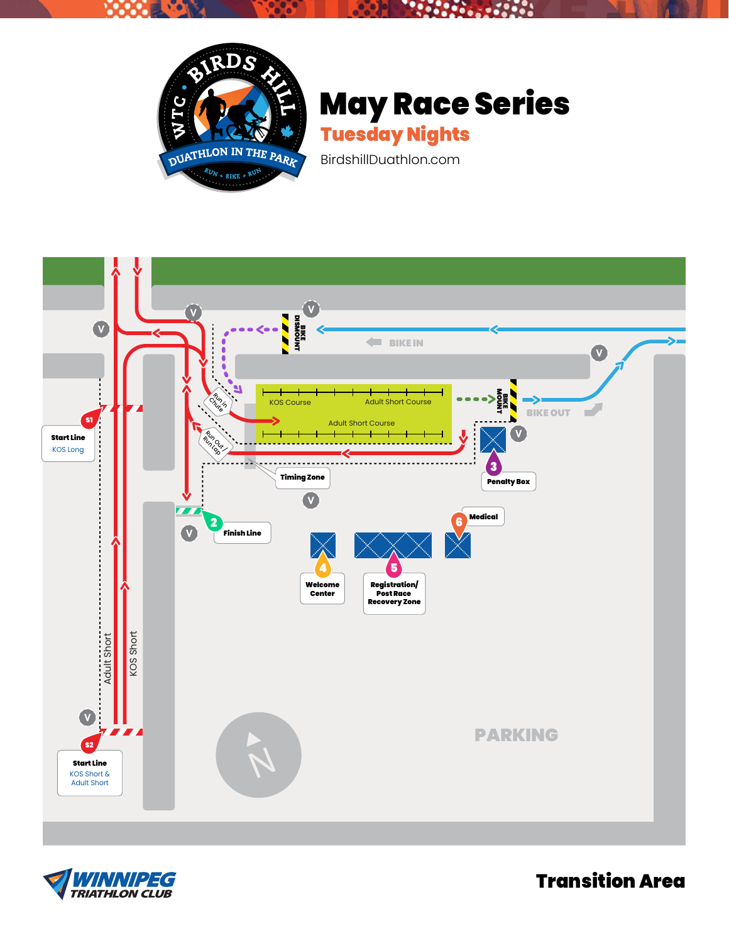

V.O

## May Race Series

 $\mathbf{S}$ 

96,

58



BirdshillDuathlon.com





Transition Area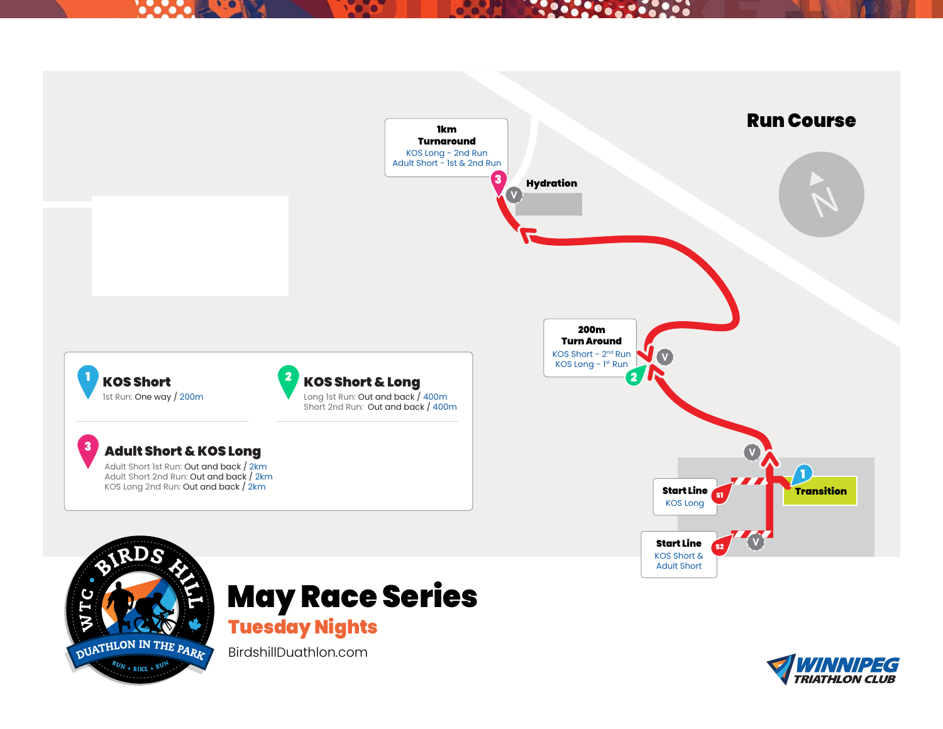## **Property Company RADON DOCTOR**



BirdshillDuathlon.com

 $R_{UN}$  + BIKE + RU

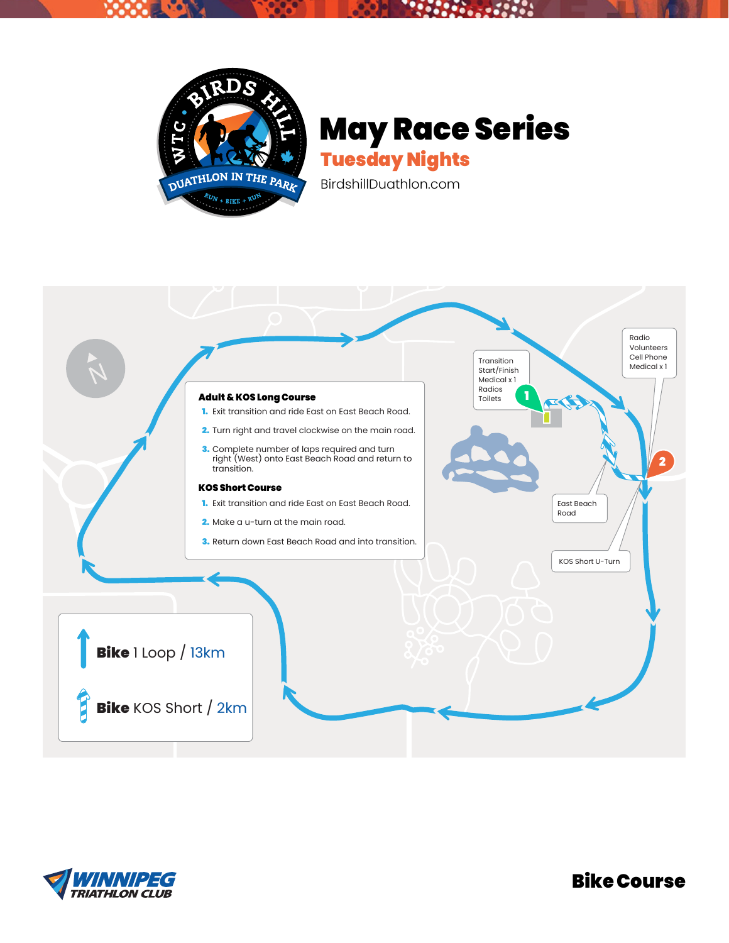

## May Race Series Tuesday Nights

BirdshillDuathlon.com



![](_page_2_Picture_4.jpeg)

Bike Course